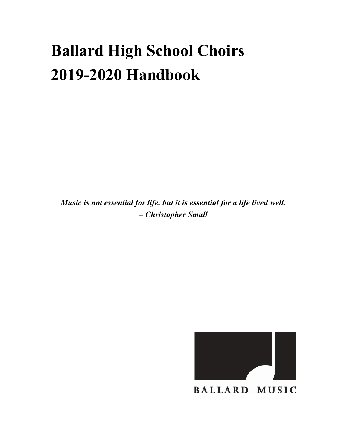# Ballard High School Choirs 2019-2020 Handbook

Music is not essential for life, but it is essential for a life lived well. – Christopher Small



**BALLARD MUSIC**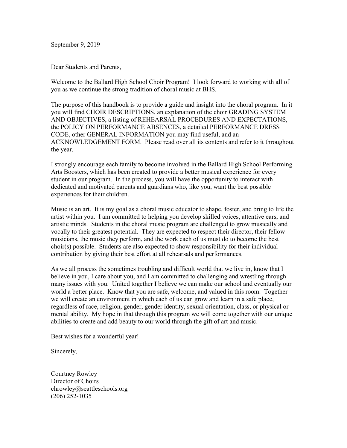September 9, 2019

Dear Students and Parents,

Welcome to the Ballard High School Choir Program! I look forward to working with all of you as we continue the strong tradition of choral music at BHS.

The purpose of this handbook is to provide a guide and insight into the choral program. In it you will find CHOIR DESCRIPTIONS, an explanation of the choir GRADING SYSTEM AND OBJECTIVES, a listing of REHEARSAL PROCEDURES AND EXPECTATIONS, the POLICY ON PERFORMANCE ABSENCES, a detailed PERFORMANCE DRESS CODE, other GENERAL INFORMATION you may find useful, and an ACKNOWLEDGEMENT FORM. Please read over all its contents and refer to it throughout the year.

I strongly encourage each family to become involved in the Ballard High School Performing Arts Boosters, which has been created to provide a better musical experience for every student in our program. In the process, you will have the opportunity to interact with dedicated and motivated parents and guardians who, like you, want the best possible experiences for their children.

Music is an art. It is my goal as a choral music educator to shape, foster, and bring to life the artist within you. I am committed to helping you develop skilled voices, attentive ears, and artistic minds. Students in the choral music program are challenged to grow musically and vocally to their greatest potential. They are expected to respect their director, their fellow musicians, the music they perform, and the work each of us must do to become the best choir(s) possible. Students are also expected to show responsibility for their individual contribution by giving their best effort at all rehearsals and performances.

As we all process the sometimes troubling and difficult world that we live in, know that I believe in you, I care about you, and I am committed to challenging and wrestling through many issues with you. United together I believe we can make our school and eventually our world a better place. Know that you are safe, welcome, and valued in this room. Together we will create an environment in which each of us can grow and learn in a safe place, regardless of race, religion, gender, gender identity, sexual orientation, class, or physical or mental ability. My hope in that through this program we will come together with our unique abilities to create and add beauty to our world through the gift of art and music.

Best wishes for a wonderful year!

Sincerely,

Courtney Rowley Director of Choirs chrowley@seattleschools.org (206) 252-1035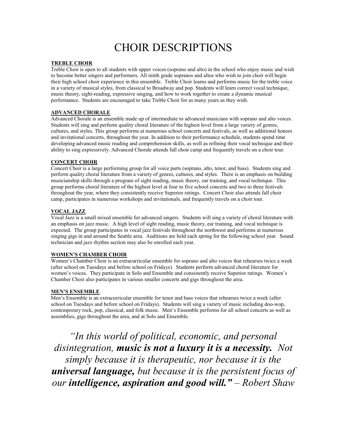# CHOIR DESCRIPTIONS

#### TREBLE CHOIR

Treble Choir is open to all students with upper voices (soprano and alto) in the school who enjoy music and wish to become better singers and performers. All ninth grade sopranos and altos who wish to join choir will begin their high school choir experience in this ensemble. Treble Choir learns and performs music for the treble voice in a variety of musical styles, from classical to Broadway and pop. Students will learn correct vocal technique, music theory, sight-reading, expressive singing, and how to work together to create a dynamic musical performance. Students are encouraged to take Treble Choir for as many years as they wish.

#### ADVANCED CHORALE

Advanced Chorale is an ensemble made up of intermediate to advanced musicians with soprano and alto voices. Students will sing and perform quality choral literature of the highest level from a large variety of genres, cultures, and styles. This group performs at numerous school concerts and festivals, as well as additional honors and invitational concerts, throughout the year. In addition to their performance schedule, students spend time developing advanced music reading and comprehension skills, as well as refining their vocal technique and their ability to sing expressively. Advanced Chorale attends fall choir camp and frequently travels on a choir tour.

#### **CONCERT CHOIR**

Concert Choir is a large performing group for all voice parts (soprano, alto, tenor, and bass). Students sing and perform quality choral literature from a variety of genres, cultures, and styles. There is an emphasis on building musicianship skills through a program of sight reading, music theory, ear training, and vocal technique. This group performs choral literature of the highest level at four to five school concerts and two to three festivals throughout the year, where they consistently receive Superior ratings. Concert Choir also attends fall choir camp, participates in numerous workshops and invitationals, and frequently travels on a choir tour.

#### VOCAL JAZZ

Vocal Jazz is a small mixed ensemble for advanced singers. Students will sing a variety of choral literature with an emphasis on jazz music. A high level of sight reading, music theory, ear training, and vocal technique is expected. The group participates in vocal jazz festivals throughout the northwest and performs at numerous singing gigs in and around the Seattle area. Auditions are held each spring for the following school year. Sound technician and jazz rhythm section may also be enrolled each year.

#### WOMEN'S CHAMBER CHOIR

Women's Chamber Choir is an extracurricular ensemble for soprano and alto voices that rehearses twice a week (after school on Tuesdays and before school on Fridays). Students perform advanced choral literature for women's voices. They participate in Solo and Ensemble and consistently receive Superior ratings. Women's Chamber Choir also participates in various smaller concerts and gigs throughout the area.

#### MEN'S ENSEMBLE

Men's Ensemble is an extracurricular ensemble for tenor and bass voices that rehearses twice a week (after school on Tuesdays and before school on Fridays). Students will sing a variety of music including doo-wop, contemporary rock, pop, classical, and folk music. Men's Ensemble performs for all school concerts as well as assemblies, gigs throughout the area, and at Solo and Ensemble.

"In this world of political, economic, and personal disintegration, music is not a luxury it is a necessity. Not simply because it is therapeutic, nor because it is the universal language, but because it is the persistent focus of our intelligence, aspiration and good will." – Robert Shaw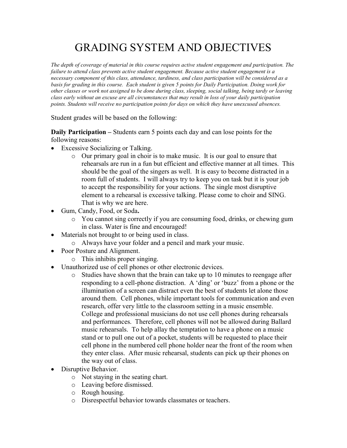# GRADING SYSTEM AND OBJECTIVES

The depth of coverage of material in this course requires active student engagement and participation. The failure to attend class prevents active student engagement. Because active student engagement is a necessary component of this class, attendance, tardiness, and class participation will be considered as a basis for grading in this course. Each student is given 5 points for Daily Participation. Doing work for other classes or work not assigned to be done during class, sleeping, social talking, being tardy or leaving class early without an excuse are all circumstances that may result in loss of your daily participation points. Students will receive no participation points for days on which they have unexcused absences.

Student grades will be based on the following:

Daily Participation – Students earn 5 points each day and can lose points for the following reasons:

- Excessive Socializing or Talking.
	- o Our primary goal in choir is to make music. It is our goal to ensure that rehearsals are run in a fun but efficient and effective manner at all times. This should be the goal of the singers as well. It is easy to become distracted in a room full of students. I will always try to keep you on task but it is your job to accept the responsibility for your actions. The single most disruptive element to a rehearsal is excessive talking. Please come to choir and SING. That is why we are here.
- Gum, Candy, Food, or Soda.
	- o You cannot sing correctly if you are consuming food, drinks, or chewing gum in class. Water is fine and encouraged!
- Materials not brought to or being used in class.
	- o Always have your folder and a pencil and mark your music.
- Poor Posture and Alignment.
	- o This inhibits proper singing.
- Unauthorized use of cell phones or other electronic devices.
	- o Studies have shown that the brain can take up to 10 minutes to reengage after responding to a cell-phone distraction. A 'ding' or 'buzz' from a phone or the illumination of a screen can distract even the best of students let alone those around them. Cell phones, while important tools for communication and even research, offer very little to the classroom setting in a music ensemble. College and professional musicians do not use cell phones during rehearsals and performances. Therefore, cell phones will not be allowed during Ballard music rehearsals. To help allay the temptation to have a phone on a music stand or to pull one out of a pocket, students will be requested to place their cell phone in the numbered cell phone holder near the front of the room when they enter class. After music rehearsal, students can pick up their phones on the way out of class.
- Disruptive Behavior.
	- o Not staying in the seating chart.
	- o Leaving before dismissed.
	- o Rough housing.
	- o Disrespectful behavior towards classmates or teachers.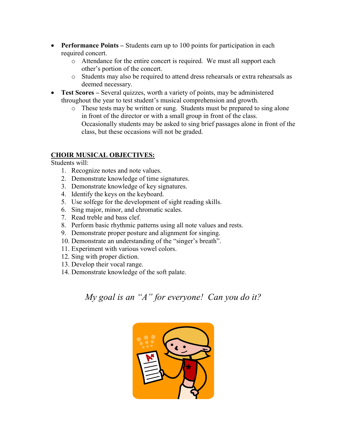- Performance Points Students earn up to 100 points for participation in each required concert.
	- o Attendance for the entire concert is required. We must all support each other's portion of the concert.
	- o Students may also be required to attend dress rehearsals or extra rehearsals as deemed necessary.
- Test Scores Several quizzes, worth a variety of points, may be administered throughout the year to test student's musical comprehension and growth.
	- o These tests may be written or sung. Students must be prepared to sing alone in front of the director or with a small group in front of the class. Occasionally students may be asked to sing brief passages alone in front of the class, but these occasions will not be graded.

### CHOIR MUSICAL OBJECTIVES:

Students will:

- 1. Recognize notes and note values.
- 2. Demonstrate knowledge of time signatures.
- 3. Demonstrate knowledge of key signatures.
- 4. Identify the keys on the keyboard.
- 5. Use solfege for the development of sight reading skills.
- 6. Sing major, minor, and chromatic scales.
- 7. Read treble and bass clef.
- 8. Perform basic rhythmic patterns using all note values and rests.
- 9. Demonstrate proper posture and alignment for singing.
- 10. Demonstrate an understanding of the "singer's breath".
- 11. Experiment with various vowel colors.
- 12. Sing with proper diction.
- 13. Develop their vocal range.
- 14. Demonstrate knowledge of the soft palate.

My goal is an "A" for everyone! Can you do it?

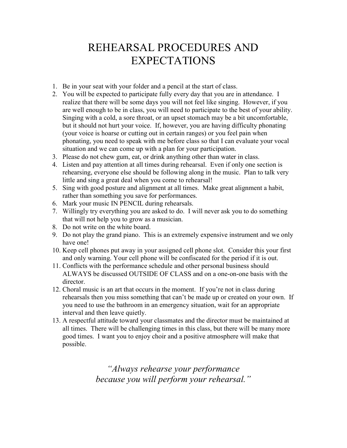# REHEARSAL PROCEDURES AND EXPECTATIONS

- 1. Be in your seat with your folder and a pencil at the start of class.
- 2. You will be expected to participate fully every day that you are in attendance. I realize that there will be some days you will not feel like singing. However, if you are well enough to be in class, you will need to participate to the best of your ability. Singing with a cold, a sore throat, or an upset stomach may be a bit uncomfortable, but it should not hurt your voice. If, however, you are having difficulty phonating (your voice is hoarse or cutting out in certain ranges) or you feel pain when phonating, you need to speak with me before class so that I can evaluate your vocal situation and we can come up with a plan for your participation.
- 3. Please do not chew gum, eat, or drink anything other than water in class.
- 4. Listen and pay attention at all times during rehearsal. Even if only one section is rehearsing, everyone else should be following along in the music. Plan to talk very little and sing a great deal when you come to rehearsal!
- 5. Sing with good posture and alignment at all times. Make great alignment a habit, rather than something you save for performances.
- 6. Mark your music IN PENCIL during rehearsals.
- 7. Willingly try everything you are asked to do. I will never ask you to do something that will not help you to grow as a musician.
- 8. Do not write on the white board.
- 9. Do not play the grand piano. This is an extremely expensive instrument and we only have one!
- 10. Keep cell phones put away in your assigned cell phone slot. Consider this your first and only warning. Your cell phone will be confiscated for the period if it is out.
- 11. Conflicts with the performance schedule and other personal business should ALWAYS be discussed OUTSIDE OF CLASS and on a one-on-one basis with the director.
- 12. Choral music is an art that occurs in the moment. If you're not in class during rehearsals then you miss something that can't be made up or created on your own. If you need to use the bathroom in an emergency situation, wait for an appropriate interval and then leave quietly.
- 13. A respectful attitude toward your classmates and the director must be maintained at all times. There will be challenging times in this class, but there will be many more good times. I want you to enjoy choir and a positive atmosphere will make that possible.

"Always rehearse your performance because you will perform your rehearsal."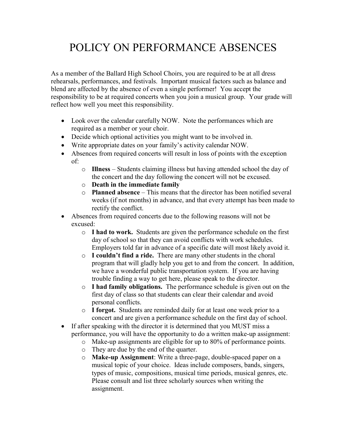# POLICY ON PERFORMANCE ABSENCES

As a member of the Ballard High School Choirs, you are required to be at all dress rehearsals, performances, and festivals. Important musical factors such as balance and blend are affected by the absence of even a single performer! You accept the responsibility to be at required concerts when you join a musical group. Your grade will reflect how well you meet this responsibility.

- Look over the calendar carefully NOW. Note the performances which are required as a member or your choir.
- Decide which optional activities you might want to be involved in.
- Write appropriate dates on your family's activity calendar NOW.
- Absences from required concerts will result in loss of points with the exception of:
	- o Illness Students claiming illness but having attended school the day of the concert and the day following the concert will not be excused.
	- o Death in the immediate family
	- $\circ$  Planned absence This means that the director has been notified several weeks (if not months) in advance, and that every attempt has been made to rectify the conflict.
- Absences from required concerts due to the following reasons will not be excused:
	- o I had to work. Students are given the performance schedule on the first day of school so that they can avoid conflicts with work schedules. Employers told far in advance of a specific date will most likely avoid it.
	- $\circ$  I couldn't find a ride. There are many other students in the choral program that will gladly help you get to and from the concert. In addition, we have a wonderful public transportation system. If you are having trouble finding a way to get here, please speak to the director.
	- o I had family obligations. The performance schedule is given out on the first day of class so that students can clear their calendar and avoid personal conflicts.
	- o I forgot. Students are reminded daily for at least one week prior to a concert and are given a performance schedule on the first day of school.
- If after speaking with the director it is determined that you MUST miss a performance, you will have the opportunity to do a written make-up assignment:
	- o Make-up assignments are eligible for up to 80% of performance points.
	- o They are due by the end of the quarter.
	- o Make-up Assignment: Write a three-page, double-spaced paper on a musical topic of your choice. Ideas include composers, bands, singers, types of music, compositions, musical time periods, musical genres, etc. Please consult and list three scholarly sources when writing the assignment.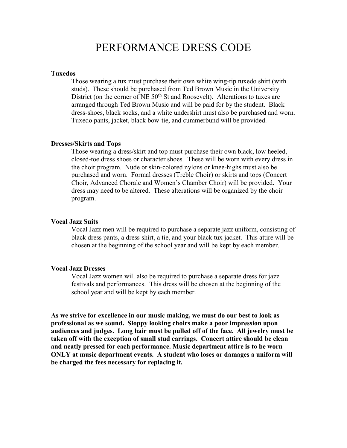### PERFORMANCE DRESS CODE

#### Tuxedos

Those wearing a tux must purchase their own white wing-tip tuxedo shirt (with studs). These should be purchased from Ted Brown Music in the University District (on the corner of NE  $50<sup>th</sup>$  St and Roosevelt). Alterations to tuxes are arranged through Ted Brown Music and will be paid for by the student. Black dress-shoes, black socks, and a white undershirt must also be purchased and worn. Tuxedo pants, jacket, black bow-tie, and cummerbund will be provided.

#### Dresses/Skirts and Tops

Those wearing a dress/skirt and top must purchase their own black, low heeled, closed-toe dress shoes or character shoes. These will be worn with every dress in the choir program. Nude or skin-colored nylons or knee-highs must also be purchased and worn. Formal dresses (Treble Choir) or skirts and tops (Concert Choir, Advanced Chorale and Women's Chamber Choir) will be provided. Your dress may need to be altered. These alterations will be organized by the choir program.

#### Vocal Jazz Suits

Vocal Jazz men will be required to purchase a separate jazz uniform, consisting of black dress pants, a dress shirt, a tie, and your black tux jacket. This attire will be chosen at the beginning of the school year and will be kept by each member.

#### Vocal Jazz Dresses

Vocal Jazz women will also be required to purchase a separate dress for jazz festivals and performances. This dress will be chosen at the beginning of the school year and will be kept by each member.

As we strive for excellence in our music making, we must do our best to look as professional as we sound. Sloppy looking choirs make a poor impression upon audiences and judges. Long hair must be pulled off of the face. All jewelry must be taken off with the exception of small stud earrings. Concert attire should be clean and neatly pressed for each performance. Music department attire is to be worn ONLY at music department events. A student who loses or damages a uniform will be charged the fees necessary for replacing it.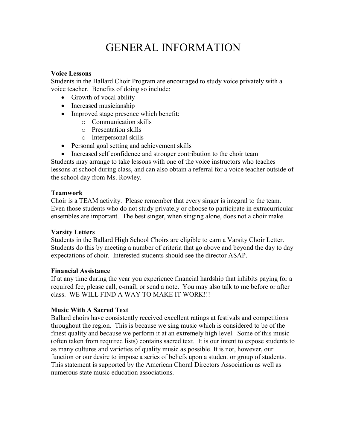# GENERAL INFORMATION

### Voice Lessons

Students in the Ballard Choir Program are encouraged to study voice privately with a voice teacher. Benefits of doing so include:

- Growth of vocal ability
- Increased musicianship
- Improved stage presence which benefit:
	- o Communication skills
	- o Presentation skills
	- o Interpersonal skills
- Personal goal setting and achievement skills
- Increased self confidence and stronger contribution to the choir team

Students may arrange to take lessons with one of the voice instructors who teaches lessons at school during class, and can also obtain a referral for a voice teacher outside of the school day from Ms. Rowley.

### Teamwork

Choir is a TEAM activity. Please remember that every singer is integral to the team. Even those students who do not study privately or choose to participate in extracurricular ensembles are important. The best singer, when singing alone, does not a choir make.

### Varsity Letters

Students in the Ballard High School Choirs are eligible to earn a Varsity Choir Letter. Students do this by meeting a number of criteria that go above and beyond the day to day expectations of choir. Interested students should see the director ASAP.

### Financial Assistance

If at any time during the year you experience financial hardship that inhibits paying for a required fee, please call, e-mail, or send a note. You may also talk to me before or after class. WE WILL FIND A WAY TO MAKE IT WORK!!!

### Music With A Sacred Text

Ballard choirs have consistently received excellent ratings at festivals and competitions throughout the region. This is because we sing music which is considered to be of the finest quality and because we perform it at an extremely high level. Some of this music (often taken from required lists) contains sacred text. It is our intent to expose students to as many cultures and varieties of quality music as possible. It is not, however, our function or our desire to impose a series of beliefs upon a student or group of students. This statement is supported by the American Choral Directors Association as well as numerous state music education associations.